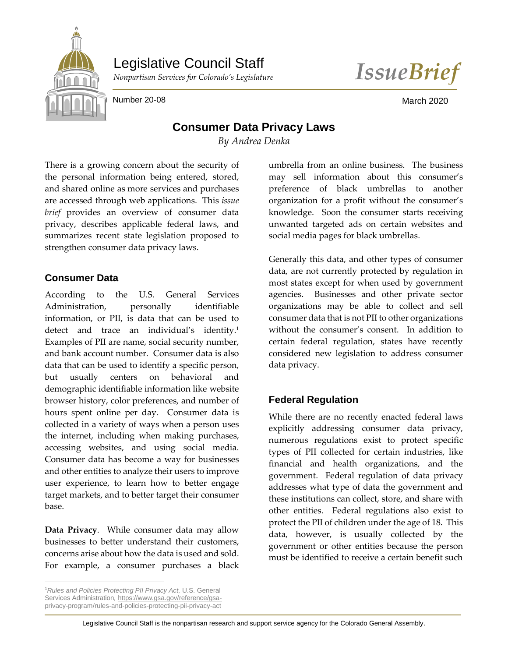

Legislative Council Staff

*Nonpartisan Services for Colorado's Legislature IssueBrief*

Number 20-08 March 2020

# **Consumer Data Privacy Laws**

*By Andrea Denka*

There is a growing concern about the security of the personal information being entered, stored, and shared online as more services and purchases are accessed through web applications. This *issue brief* provides an overview of consumer data privacy, describes applicable federal laws, and summarizes recent state legislation proposed to strengthen consumer data privacy laws.

### **Consumer Data**

According to the U.S. General Services Administration, personally identifiable information, or PII, is data that can be used to detect and trace an individual's identity. 1 Examples of PII are name, social security number, and bank account number. Consumer data is also data that can be used to identify a specific person, but usually centers on behavioral and demographic identifiable information like website browser history, color preferences, and number of hours spent online per day. Consumer data is collected in a variety of ways when a person uses the internet, including when making purchases, accessing websites, and using social media. Consumer data has become a way for businesses and other entities to analyze their users to improve user experience, to learn how to better engage target markets, and to better target their consumer base.

**Data Privacy**. While consumer data may allow businesses to better understand their customers, concerns arise about how the data is used and sold. For example, a consumer purchases a black

<sup>1</sup>*Rules and Policies Protecting PII Privacy Act,* U.S. General Services Administration*,* [https://www.gsa.gov/reference/gsa](https://www.gsa.gov/reference/gsa-privacy-program/rules-and-policies-protecting-pii-privacy-act)[privacy-program/rules-and-policies-protecting-pii-privacy-act](https://www.gsa.gov/reference/gsa-privacy-program/rules-and-policies-protecting-pii-privacy-act)

 $\overline{a}$ 

umbrella from an online business. The business may sell information about this consumer's preference of black umbrellas to another organization for a profit without the consumer's knowledge. Soon the consumer starts receiving unwanted targeted ads on certain websites and social media pages for black umbrellas.

Generally this data, and other types of consumer data, are not currently protected by regulation in most states except for when used by government agencies. Businesses and other private sector organizations may be able to collect and sell consumer data that is not PII to other organizations without the consumer's consent. In addition to certain federal regulation, states have recently considered new legislation to address consumer data privacy.

# **Federal Regulation**

While there are no recently enacted federal laws explicitly addressing consumer data privacy, numerous regulations exist to protect specific types of PII collected for certain industries, like financial and health organizations, and the government. Federal regulation of data privacy addresses what type of data the government and these institutions can collect, store, and share with other entities. Federal regulations also exist to protect the PII of children under the age of 18. This data, however, is usually collected by the government or other entities because the person must be identified to receive a certain benefit such